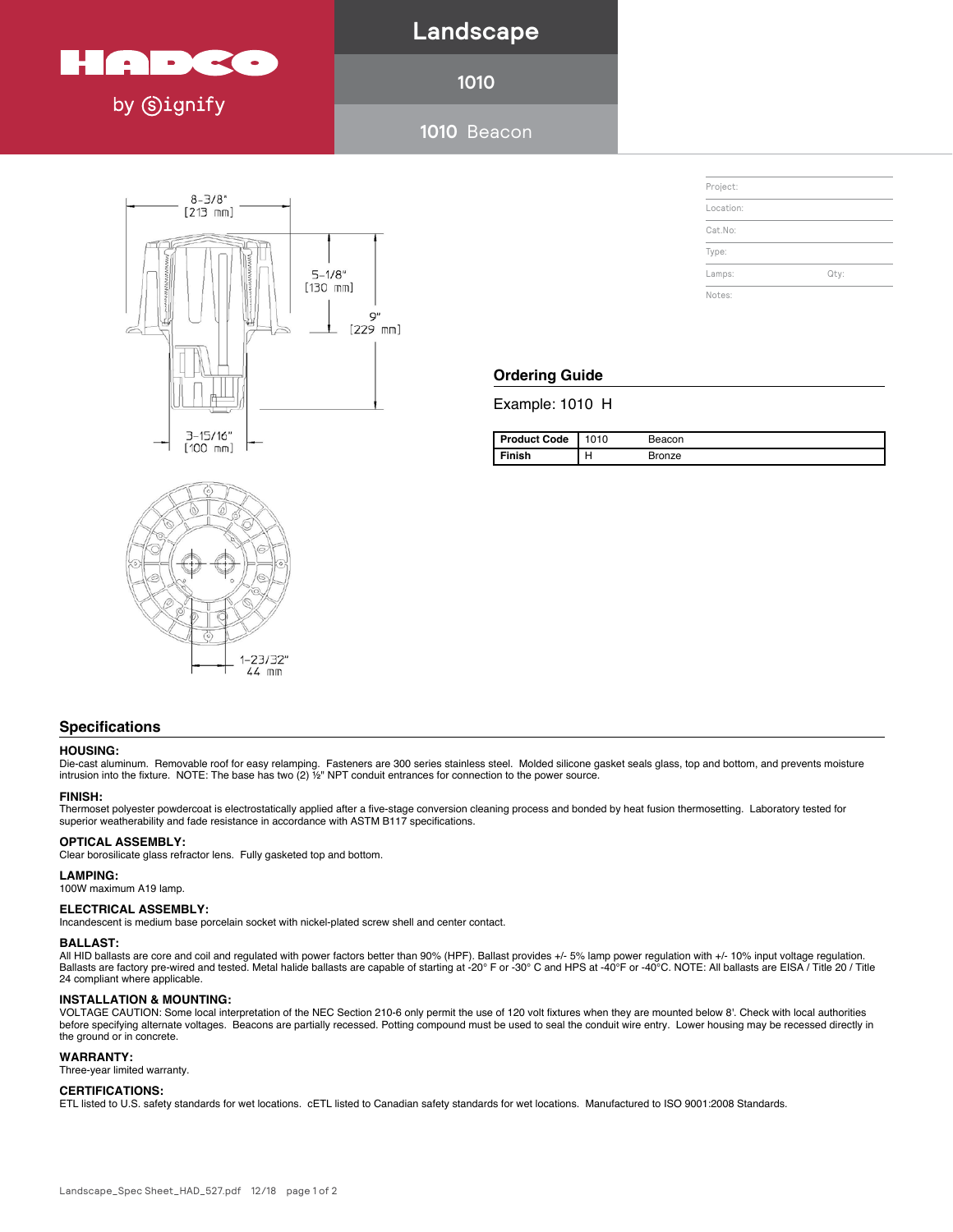

# **Landscape**

**1010**

**1010** Beacon Project Name: Location: MFG: Philips Hadco





| Project:  |      |  |
|-----------|------|--|
| Location: |      |  |
| Cat.No:   |      |  |
| Type:     |      |  |
| Lamps:    | Qty: |  |
| Notes:    |      |  |

## **Ordering Guide**

Example: 1010 H

| <b>Product Code</b> | 1010 | Beacon |
|---------------------|------|--------|
| Finish              | н    | Bronze |

## **Specifications**

## **HOUSING:**

Die-cast aluminum. Removable roof for easy relamping. Fasteners are 300 series stainless steel. Molded silicone gasket seals glass, top and bottom, and prevents moisture<br>intrusion into the fixture. NOTE: The base has t

## **FINISH:**

Thermoset polyester powdercoat is electrostatically applied after a five-stage conversion cleaning process and bonded by heat fusion thermosetting. Laboratory tested for superior weatherability and fade resistance in accordance with ASTM B117 specifications.

## **OPTICAL ASSEMBLY:**

Clear borosilicate glass refractor lens. Fully gasketed top and bottom.

## **LAMPING:**

100W maximum A19 lamp.

## **Specifications ELECTRICAL ASSEMBLY:**

Incandescent is medium base porcelain socket with nickel-plated screw shell and center contact.<br>-

#### Die-cast aluminum. Removable roof for easy relamping. Fasteners are 300 series stainless steel. Molded silicone gasket seals glass, top and bottom, and prevents moisture **BALLAST:**

**BALLAST:**<br>All HID ballasts are core and coil and regulated with power factors better than 90% (HPF). Ballast provides +/- 5% lamp power regulation with +/- 10% input voltage regulation. **FINISH:** 24 compliant where applicable. Thermoset polyester polyester powersion conversion conversion conversion conversion conversion conversion conversion conversion thermosetting. Laboratory tested for the  $\mu$ Ballasts are factory pre-wired and tested. Metal halide ballasts are capable of starting at -20° F or -30° C and HPS at -40°F or -40°C. NOTE: All ballasts are EISA / Title 20 / Title<br>24 compliant where applicable.

## **INSTALLATION & MOUNTING:**

**OPTICAL ASSEMBLY:** OPTICAL ASSEMBLY: A CONSTRUCT OF OUR DESCRIPTION OF A SECONDUCT OF A SECOND MUST A SUGGETHER ON DETECT OF A SUGGETHER OF A SUGGETHER ON DETECT OF A SUGGETHER ONLY A SUGGETHER ONLY A SUGGETHER ONLY A SUG the ground or in concrete. INSTALLATION & MOUNTING:<br>VOLTAGE CAUTION: Some local interpretation of the NEC Section 210-6 only permit the use of 120 volt fixtures when they are mounted below 8'. Check with local authorities

## WARRANTY:

100W maximum A19 lamp. ISO 9001:2008 Registered Page 1 of 2 Three-year limited warranty.

## **ELECTRICAL ASSEMBLY: CERTIFICATIONS:**

ETL listed to U.S. safety standards for wet locations. cETL listed to Canadian safety standards for wet locations. Manufactured to ISO 9001:2008 Standards.